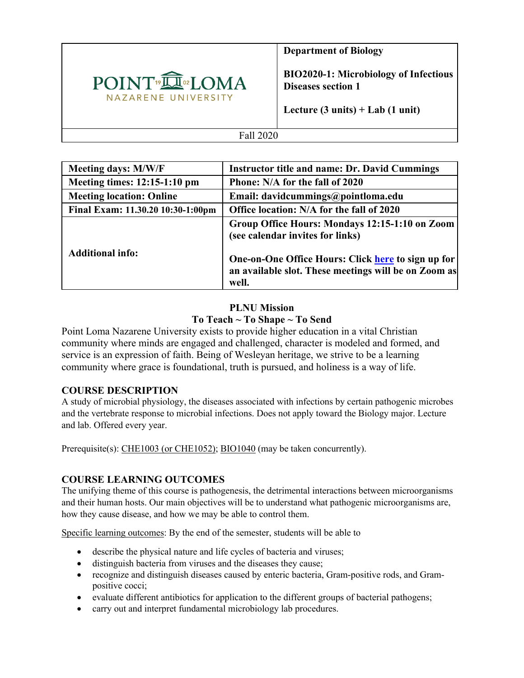

**Department of Biology**

**BIO2020-1: Microbiology of Infectious Diseases section 1**

**Lecture (3 units) + Lab (1 unit)**

### Fall 2020

| <b>Meeting days: M/W/F</b>        | <b>Instructor title and name: Dr. David Cummings</b>                                                                |
|-----------------------------------|---------------------------------------------------------------------------------------------------------------------|
| Meeting times: 12:15-1:10 pm      | Phone: N/A for the fall of 2020                                                                                     |
| <b>Meeting location: Online</b>   | Email: davidcummings@pointloma.edu                                                                                  |
| Final Exam: 11.30.20 10:30-1:00pm | Office location: N/A for the fall of 2020                                                                           |
|                                   | Group Office Hours: Mondays 12:15-1:10 on Zoom<br>(see calendar invites for links)                                  |
| <b>Additional info:</b>           | One-on-One Office Hours: Click here to sign up for<br>an available slot. These meetings will be on Zoom as<br>well. |

# **PLNU Mission To Teach ~ To Shape ~ To Send**

Point Loma Nazarene University exists to provide higher education in a vital Christian community where minds are engaged and challenged, character is modeled and formed, and service is an expression of faith. Being of Wesleyan heritage, we strive to be a learning community where grace is foundational, truth is pursued, and holiness is a way of life.

### **COURSE DESCRIPTION**

A study of microbial physiology, the diseases associated with infections by certain pathogenic microbes and the vertebrate response to microbial infections. Does not apply toward the Biology major. Lecture and lab. Offered every year.

Prerequisite(s): CHE1003 (or CHE1052); BIO1040 (may be taken concurrently).

### **COURSE LEARNING OUTCOMES**

The unifying theme of this course is pathogenesis, the detrimental interactions between microorganisms and their human hosts. Our main objectives will be to understand what pathogenic microorganisms are, how they cause disease, and how we may be able to control them.

Specific learning outcomes: By the end of the semester, students will be able to

- describe the physical nature and life cycles of bacteria and viruses;
- distinguish bacteria from viruses and the diseases they cause;
- recognize and distinguish diseases caused by enteric bacteria, Gram-positive rods, and Grampositive cocci;
- evaluate different antibiotics for application to the different groups of bacterial pathogens;
- carry out and interpret fundamental microbiology lab procedures.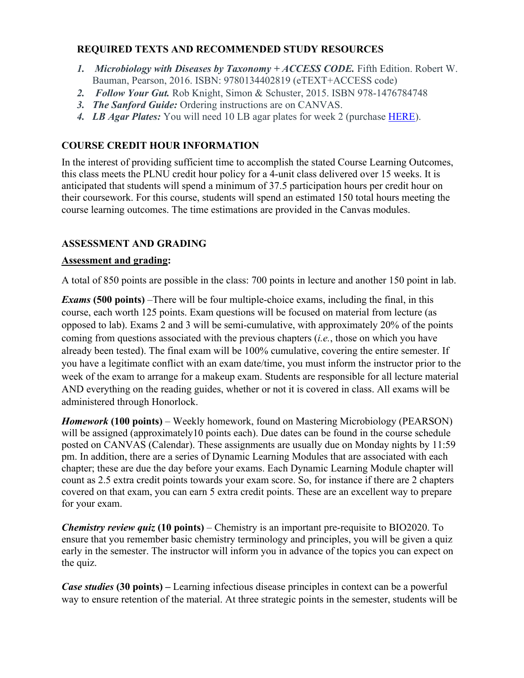# **REQUIRED TEXTS AND RECOMMENDED STUDY RESOURCES**

- *1. Microbiology with Diseases by Taxonomy + ACCESS CODE.* Fifth Edition. Robert W. Bauman, Pearson, 2016. ISBN: 9780134402819 (eTEXT+ACCESS code)
- *2. Follow Your Gut.* Rob Knight, Simon & Schuster, 2015. ISBN 978-1476784748
- *3. The Sanford Guide:* Ordering instructions are on CANVAS.
- *4. LB Agar Plates:* You will need 10 LB agar plates for week 2 (purchase HERE).

# **COURSE CREDIT HOUR INFORMATION**

In the interest of providing sufficient time to accomplish the stated Course Learning Outcomes, this class meets the PLNU credit hour policy for a 4-unit class delivered over 15 weeks. It is anticipated that students will spend a minimum of 37.5 participation hours per credit hour on their coursework. For this course, students will spend an estimated 150 total hours meeting the course learning outcomes. The time estimations are provided in the Canvas modules.

## **ASSESSMENT AND GRADING**

### **Assessment and grading:**

A total of 850 points are possible in the class: 700 points in lecture and another 150 point in lab.

*Exams* **(500 points)** –There will be four multiple-choice exams, including the final, in this course, each worth 125 points. Exam questions will be focused on material from lecture (as opposed to lab). Exams 2 and 3 will be semi-cumulative, with approximately 20% of the points coming from questions associated with the previous chapters (*i.e.*, those on which you have already been tested). The final exam will be 100% cumulative, covering the entire semester. If you have a legitimate conflict with an exam date/time, you must inform the instructor prior to the week of the exam to arrange for a makeup exam. Students are responsible for all lecture material AND everything on the reading guides, whether or not it is covered in class. All exams will be administered through Honorlock.

*Homework* **(100 points)** – Weekly homework, found on Mastering Microbiology (PEARSON) will be assigned (approximately10 points each). Due dates can be found in the course schedule posted on CANVAS (Calendar). These assignments are usually due on Monday nights by 11:59 pm. In addition, there are a series of Dynamic Learning Modules that are associated with each chapter; these are due the day before your exams. Each Dynamic Learning Module chapter will count as 2.5 extra credit points towards your exam score. So, for instance if there are 2 chapters covered on that exam, you can earn 5 extra credit points. These are an excellent way to prepare for your exam.

*Chemistry review quiz* **(10 points)** – Chemistry is an important pre-requisite to BIO2020. To ensure that you remember basic chemistry terminology and principles, you will be given a quiz early in the semester. The instructor will inform you in advance of the topics you can expect on the quiz.

*Case studies* **(30 points) –** Learning infectious disease principles in context can be a powerful way to ensure retention of the material. At three strategic points in the semester, students will be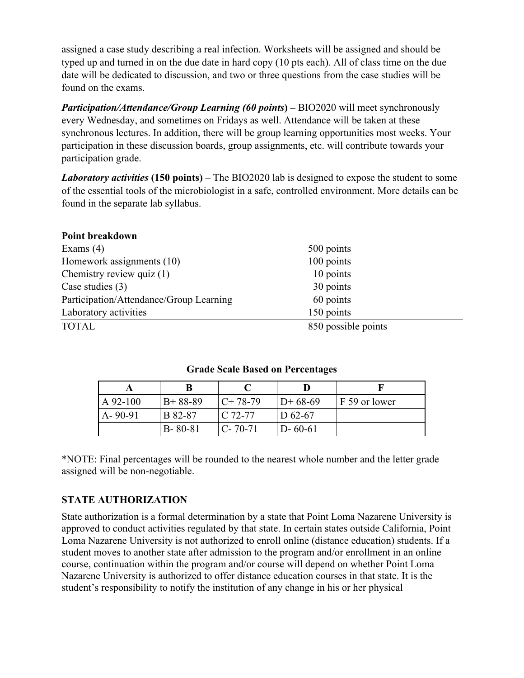assigned a case study describing a real infection. Worksheets will be assigned and should be typed up and turned in on the due date in hard copy (10 pts each). All of class time on the due date will be dedicated to discussion, and two or three questions from the case studies will be found on the exams.

*Participation/Attendance/Group Learning (60 points***) –** BIO2020 will meet synchronously every Wednesday, and sometimes on Fridays as well. Attendance will be taken at these synchronous lectures. In addition, there will be group learning opportunities most weeks. Your participation in these discussion boards, group assignments, etc. will contribute towards your participation grade.

*Laboratory activities* **(150 points)** – The BIO2020 lab is designed to expose the student to some of the essential tools of the microbiologist in a safe, controlled environment. More details can be found in the separate lab syllabus.

| Point breakdown                         |                     |  |
|-----------------------------------------|---------------------|--|
| Exams $(4)$                             | 500 points          |  |
| Homework assignments (10)               | 100 points          |  |
| Chemistry review quiz (1)               | 10 points           |  |
| Case studies $(3)$                      | 30 points           |  |
| Participation/Attendance/Group Learning | 60 points           |  |
| Laboratory activities                   | 150 points          |  |
| <b>TOTAL</b>                            | 850 possible points |  |

### **Grade Scale Based on Percentages**

| $A$ 92-100    | $B+88-89$     | $C+78-79$     | $D+68-69$     | F 59 or lower |
|---------------|---------------|---------------|---------------|---------------|
| $A - 90 - 91$ | B 82-87       | $C.72-77$     | D $62-67$     |               |
|               | $B - 80 - 81$ | $C - 70 - 71$ | $D - 60 - 61$ |               |

\*NOTE: Final percentages will be rounded to the nearest whole number and the letter grade assigned will be non-negotiable.

### **STATE AUTHORIZATION**

State authorization is a formal determination by a state that Point Loma Nazarene University is approved to conduct activities regulated by that state. In certain states outside California, Point Loma Nazarene University is not authorized to enroll online (distance education) students. If a student moves to another state after admission to the program and/or enrollment in an online course, continuation within the program and/or course will depend on whether Point Loma Nazarene University is authorized to offer distance education courses in that state. It is the student's responsibility to notify the institution of any change in his or her physical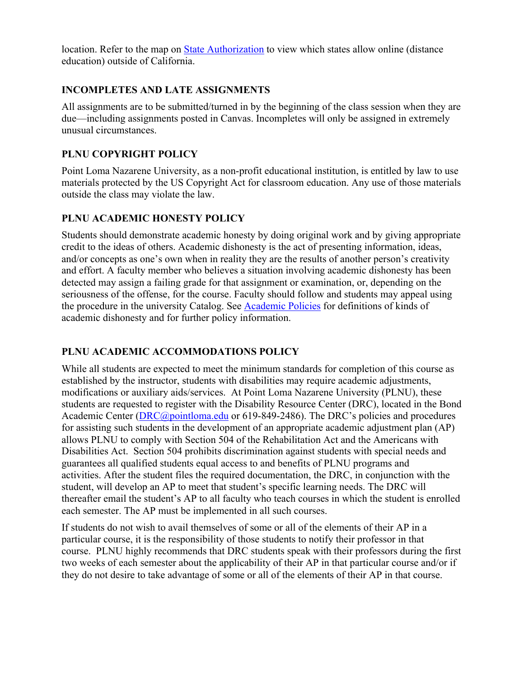location. Refer to the map on State Authorization to view which states allow online (distance education) outside of California.

## **INCOMPLETES AND LATE ASSIGNMENTS**

All assignments are to be submitted/turned in by the beginning of the class session when they are due—including assignments posted in Canvas. Incompletes will only be assigned in extremely unusual circumstances.

# **PLNU COPYRIGHT POLICY**

Point Loma Nazarene University, as a non-profit educational institution, is entitled by law to use materials protected by the US Copyright Act for classroom education. Any use of those materials outside the class may violate the law.

## **PLNU ACADEMIC HONESTY POLICY**

Students should demonstrate academic honesty by doing original work and by giving appropriate credit to the ideas of others. Academic dishonesty is the act of presenting information, ideas, and/or concepts as one's own when in reality they are the results of another person's creativity and effort. A faculty member who believes a situation involving academic dishonesty has been detected may assign a failing grade for that assignment or examination, or, depending on the seriousness of the offense, for the course. Faculty should follow and students may appeal using the procedure in the university Catalog. See Academic Policies for definitions of kinds of academic dishonesty and for further policy information.

# **PLNU ACADEMIC ACCOMMODATIONS POLICY**

While all students are expected to meet the minimum standards for completion of this course as established by the instructor, students with disabilities may require academic adjustments, modifications or auxiliary aids/services. At Point Loma Nazarene University (PLNU), these students are requested to register with the Disability Resource Center (DRC), located in the Bond Academic Center (*DRC@pointloma.edu* or 619-849-2486). The DRC's policies and procedures for assisting such students in the development of an appropriate academic adjustment plan (AP) allows PLNU to comply with Section 504 of the Rehabilitation Act and the Americans with Disabilities Act. Section 504 prohibits discrimination against students with special needs and guarantees all qualified students equal access to and benefits of PLNU programs and activities. After the student files the required documentation, the DRC, in conjunction with the student, will develop an AP to meet that student's specific learning needs. The DRC will thereafter email the student's AP to all faculty who teach courses in which the student is enrolled each semester. The AP must be implemented in all such courses.

If students do not wish to avail themselves of some or all of the elements of their AP in a particular course, it is the responsibility of those students to notify their professor in that course. PLNU highly recommends that DRC students speak with their professors during the first two weeks of each semester about the applicability of their AP in that particular course and/or if they do not desire to take advantage of some or all of the elements of their AP in that course.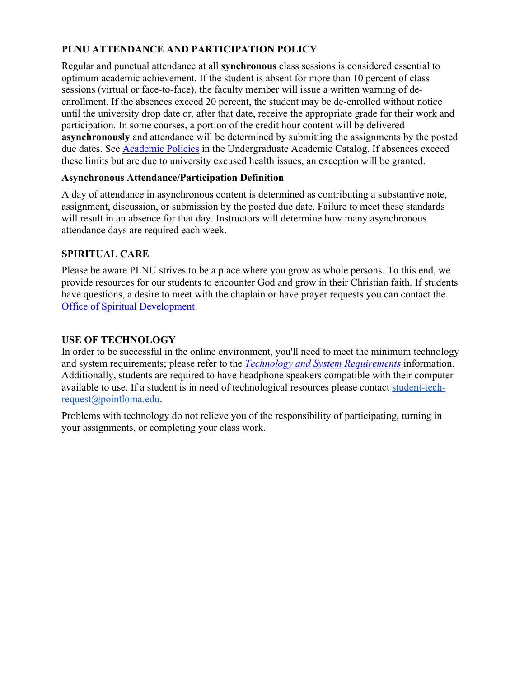# **PLNU ATTENDANCE AND PARTICIPATION POLICY**

Regular and punctual attendance at all **synchronous** class sessions is considered essential to optimum academic achievement. If the student is absent for more than 10 percent of class sessions (virtual or face-to-face), the faculty member will issue a written warning of deenrollment. If the absences exceed 20 percent, the student may be de-enrolled without notice until the university drop date or, after that date, receive the appropriate grade for their work and participation. In some courses, a portion of the credit hour content will be delivered **asynchronously** and attendance will be determined by submitting the assignments by the posted due dates. See Academic Policies in the Undergraduate Academic Catalog. If absences exceed these limits but are due to university excused health issues, an exception will be granted.

### **Asynchronous Attendance/Participation Definition**

A day of attendance in asynchronous content is determined as contributing a substantive note, assignment, discussion, or submission by the posted due date. Failure to meet these standards will result in an absence for that day. Instructors will determine how many asynchronous attendance days are required each week.

## **SPIRITUAL CARE**

Please be aware PLNU strives to be a place where you grow as whole persons. To this end, we provide resources for our students to encounter God and grow in their Christian faith. If students have questions, a desire to meet with the chaplain or have prayer requests you can contact the Office of Spiritual Development.

### **USE OF TECHNOLOGY**

In order to be successful in the online environment, you'll need to meet the minimum technology and system requirements; please refer to the *Technology and System Requirements* information. Additionally, students are required to have headphone speakers compatible with their computer available to use. If a student is in need of technological resources please contact student-techrequest@pointloma.edu.

Problems with technology do not relieve you of the responsibility of participating, turning in your assignments, or completing your class work.